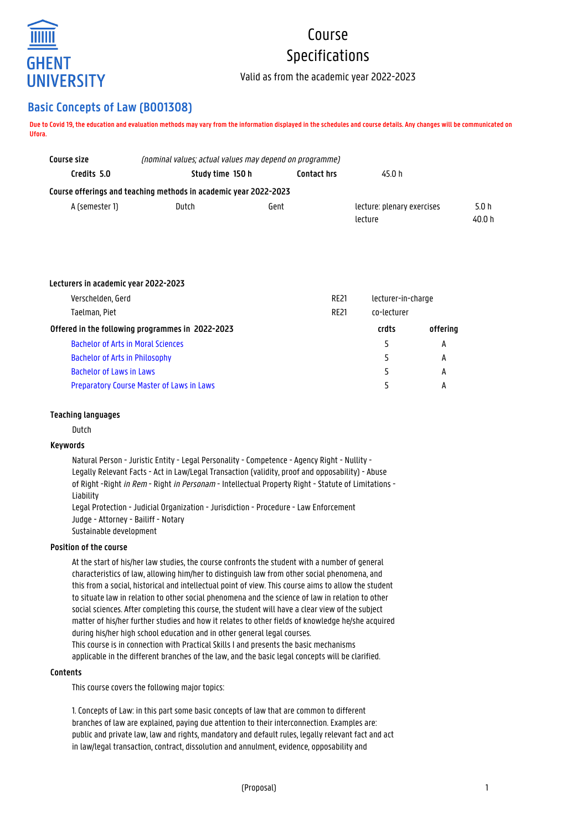

# Course Specifications

Valid as from the academic year 2022-2023

# **Basic Concepts of Law (B001308)**

**Due to Covid 19, the education and evaluation methods may vary from the information displayed in the schedules and course details. Any changes will be communicated on Ufora.**

| Course size    | (nominal values; actual values may depend on programme)          |                    |                            |        |
|----------------|------------------------------------------------------------------|--------------------|----------------------------|--------|
| Credits 5.0    | Study time 150 h                                                 | <b>Contact hrs</b> | 45.0 h                     |        |
|                | Course offerings and teaching methods in academic year 2022-2023 |                    |                            |        |
| A (semester 1) | Dutch<br>Gent                                                    |                    | lecture: plenary exercises | 5.0 h  |
|                |                                                                  |                    | lecture                    | 40.0 h |

| Lecturers in academic year 2022-2023             |             |                    |          |
|--------------------------------------------------|-------------|--------------------|----------|
| Verschelden, Gerd                                | <b>RE21</b> | lecturer-in-charge |          |
| Taelman, Piet                                    | <b>RE21</b> | co-lecturer        |          |
| Offered in the following programmes in 2022-2023 |             | crdts              | offering |
| <b>Bachelor of Arts in Moral Sciences</b>        |             | 5                  | А        |
| <b>Bachelor of Arts in Philosophy</b>            |             |                    | А        |
| <b>Bachelor of Laws in Laws</b>                  |             | 5                  | А        |
| <b>Preparatory Course Master of Laws in Laws</b> |             |                    | А        |

### **Teaching languages**

Dutch

#### **Keywords**

Natural Person - Juristic Entity - Legal Personality - Competence - Agency Right - Nullity - Legally Relevant Facts - Act in Law/Legal Transaction (validity, proof and opposability) - Abuse of Right -Right in Rem - Right in Personam - Intellectual Property Right - Statute of Limitations -Liability Legal Protection - Judicial Organization - Jurisdiction - Procedure - Law Enforcement

Judge - Attorney - Bailiff - Notary Sustainable development

# **Position of the course**

At the start of his/her law studies, the course confronts the student with a number of general characteristics of law, allowing him/her to distinguish law from other social phenomena, and this from a social, historical and intellectual point of view. This course aims to allow the student to situate law in relation to other social phenomena and the science of law in relation to other social sciences. After completing this course, the student will have a clear view of the subject matter of his/her further studies and how it relates to other fields of knowledge he/she acquired during his/her high school education and in other general legal courses. This course is in connection with Practical Skills I and presents the basic mechanisms applicable in the different branches of the law, and the basic legal concepts will be clarified.

#### **Contents**

This course covers the following major topics:

1. Concepts of Law: in this part some basic concepts of law that are common to different branches of law are explained, paying due attention to their interconnection. Examples are: public and private law, law and rights, mandatory and default rules, legally relevant fact and act in law/legal transaction, contract, dissolution and annulment, evidence, opposability and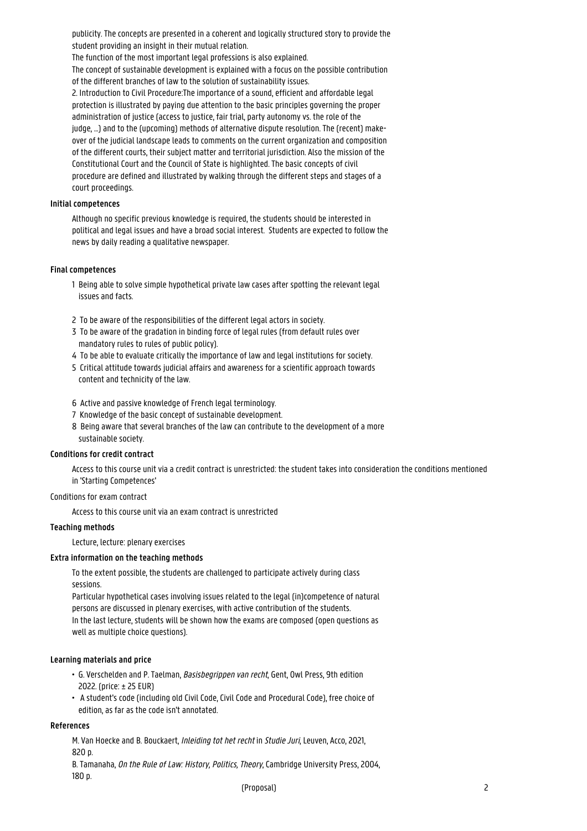publicity. The concepts are presented in a coherent and logically structured story to provide the student providing an insight in their mutual relation.

The function of the most important legal professions is also explained.

The concept of sustainable development is explained with a focus on the possible contribution of the different branches of law to the solution of sustainability issues.

2. Introduction to Civil Procedure:The importance of a sound, efficient and affordable legal protection is illustrated by paying due attention to the basic principles governing the proper administration of justice (access to justice, fair trial, party autonomy vs. the role of the judge, …) and to the (upcoming) methods of alternative dispute resolution. The (recent) makeover of the judicial landscape leads to comments on the current organization and composition of the different courts, their subject matter and territorial jurisdiction. Also the mission of the Constitutional Court and the Council of State is highlighted. The basic concepts of civil procedure are defined and illustrated by walking through the different steps and stages of a court proceedings.

#### **Initial competences**

Although no specific previous knowledge is required, the students should be interested in political and legal issues and have a broad social interest. Students are expected to follow the news by daily reading a qualitative newspaper.

#### **Final competences**

- 1 Being able to solve simple hypothetical private law cases after spotting the relevant legal issues and facts.
- 2 To be aware of the responsibilities of the different legal actors in society.
- 3 To be aware of the gradation in binding force of legal rules (from default rules over mandatory rules to rules of public policy).
- 4 To be able to evaluate critically the importance of law and legal institutions for society.
- 5 Critical attitude towards judicial affairs and awareness for a scientific approach towards content and technicity of the law.
- 6 Active and passive knowledge of French legal terminology.
- 7 Knowledge of the basic concept of sustainable development.
- 8 Being aware that several branches of the law can contribute to the development of a more sustainable society.

#### **Conditions for credit contract**

Access to this course unit via a credit contract is unrestricted: the student takes into consideration the conditions mentioned in 'Starting Competences'

#### Conditions for exam contract

Access to this course unit via an exam contract is unrestricted

# **Teaching methods**

Lecture, lecture: plenary exercises

#### **Extra information on the teaching methods**

To the extent possible, the students are challenged to participate actively during class sessions.

Particular hypothetical cases involving issues related to the legal (in)competence of natural persons are discussed in plenary exercises, with active contribution of the students. In the last lecture, students will be shown how the exams are composed (open questions as well as multiple choice questions).

#### **Learning materials and price**

- G. Verschelden and P. Taelman, Basisbegrippen van recht, Gent, Owl Press, 9th edition • 2022. (price: ± 25 EUR)
- A student's code (including old Civil Code, Civil Code and Procedural Code), free choice of • edition, as far as the code isn't annotated.

#### **References**

M. Van Hoecke and B. Bouckaert, Inleiding tot het recht in Studie Juri, Leuven, Acco, 2021, 820 p.

B. Tamanaha, On the Rule of Law: History, Politics, Theory, Cambridge University Press, 2004, 180 p.